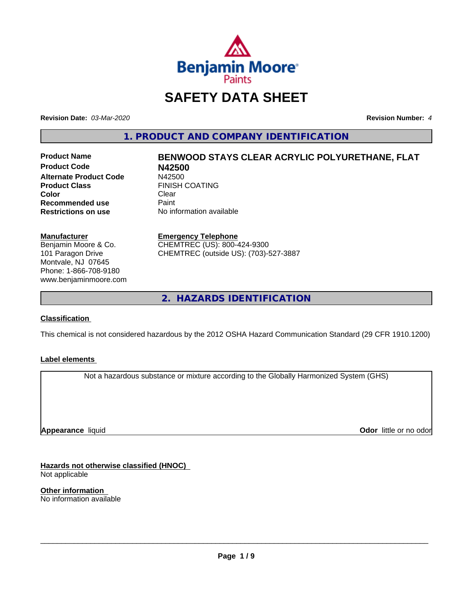

## **SAFETY DATA SHEET**

**Revision Date:** *03-Mar-2020* **Revision Number:** *4*

**1. PRODUCT AND COMPANY IDENTIFICATION**

**Product Code N42500 Alternate Product Code**<br>Product Class **Color** Clear Clear **Recommended use** Paint<br> **Restrictions on use** No inf

# **Product Name BENWOOD STAYS CLEAR ACRYLIC POLYURETHANE, FLAT FINISH COATING**

**No information available** 

#### **Manufacturer**

Benjamin Moore & Co. 101 Paragon Drive Montvale, NJ 07645 Phone: 1-866-708-9180 www.benjaminmoore.com

#### **Emergency Telephone**

CHEMTREC (US): 800-424-9300 CHEMTREC (outside US): (703)-527-3887

**2. HAZARDS IDENTIFICATION**

#### **Classification**

This chemical is not considered hazardous by the 2012 OSHA Hazard Communication Standard (29 CFR 1910.1200)

#### **Label elements**

Not a hazardous substance or mixture according to the Globally Harmonized System (GHS)

**Appearance** liquid

**Odor** little or no odor

**Hazards not otherwise classified (HNOC)** Not applicable

**Other information** No information available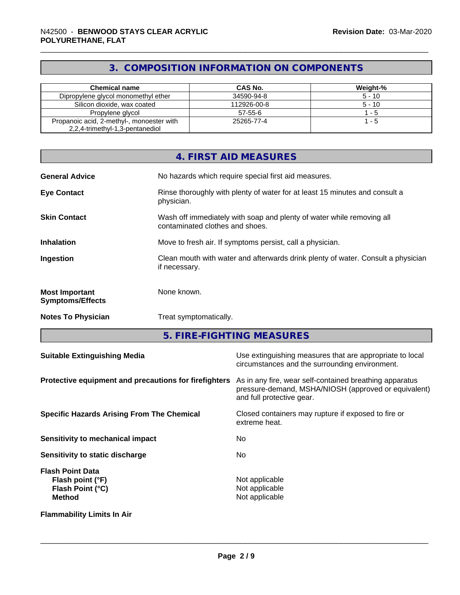## **3. COMPOSITION INFORMATION ON COMPONENTS**

| <b>Chemical name</b>                      | CAS No.       | Weight-% |
|-------------------------------------------|---------------|----------|
| Dipropylene glycol monomethyl ether       | 34590-94-8    | $5 - 10$ |
| Silicon dioxide, wax coated               | 112926-00-8   | $5 - 10$ |
| Propylene glycol                          | $57 - 55 - 6$ | - 5      |
| Propanoic acid, 2-methyl-, monoester with | 25265-77-4    | - 5      |
| 2,2,4-trimethyl-1,3-pentanediol           |               |          |

|                                                  | 4. FIRST AID MEASURES                                                                                    |
|--------------------------------------------------|----------------------------------------------------------------------------------------------------------|
| <b>General Advice</b>                            | No hazards which require special first aid measures.                                                     |
| <b>Eye Contact</b>                               | Rinse thoroughly with plenty of water for at least 15 minutes and consult a<br>physician.                |
| <b>Skin Contact</b>                              | Wash off immediately with soap and plenty of water while removing all<br>contaminated clothes and shoes. |
| <b>Inhalation</b>                                | Move to fresh air. If symptoms persist, call a physician.                                                |
| Ingestion                                        | Clean mouth with water and afterwards drink plenty of water. Consult a physician<br>if necessary.        |
| <b>Most Important</b><br><b>Symptoms/Effects</b> | None known.                                                                                              |
| <b>Notes To Physician</b>                        | Treat symptomatically.                                                                                   |

**5. FIRE-FIGHTING MEASURES**

| <b>Suitable Extinguishing Media</b>                                              | Use extinguishing measures that are appropriate to local<br>circumstances and the surrounding environment.                                   |
|----------------------------------------------------------------------------------|----------------------------------------------------------------------------------------------------------------------------------------------|
| Protective equipment and precautions for firefighters                            | As in any fire, wear self-contained breathing apparatus<br>pressure-demand, MSHA/NIOSH (approved or equivalent)<br>and full protective gear. |
| <b>Specific Hazards Arising From The Chemical</b>                                | Closed containers may rupture if exposed to fire or<br>extreme heat.                                                                         |
| Sensitivity to mechanical impact                                                 | No.                                                                                                                                          |
| Sensitivity to static discharge                                                  | No.                                                                                                                                          |
| <b>Flash Point Data</b><br>Flash point (°F)<br>Flash Point (°C)<br><b>Method</b> | Not applicable<br>Not applicable<br>Not applicable                                                                                           |
| <b>Flammability Limits In Air</b>                                                |                                                                                                                                              |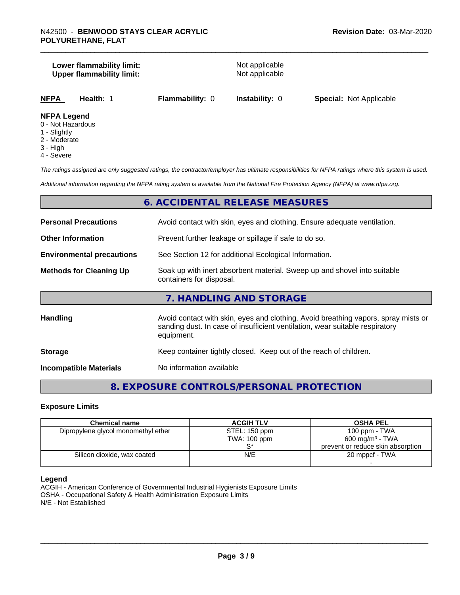#### **Lower flammability limit:**<br>
Upper flammability limit:<br>
Upper flammability limit:<br>
Not applicable **Upper flammability limit:**

| NFPA<br><b>Special: Not Applicable</b><br><b>Flammability: 0</b><br><b>Instability: 0</b><br>Health: |
|------------------------------------------------------------------------------------------------------|
|------------------------------------------------------------------------------------------------------|

#### **NFPA Legend**

- 0 Not Hazardous
- 1 Slightly
- 2 Moderate
- 3 High
- 4 Severe

*The ratings assigned are only suggested ratings, the contractor/employer has ultimate responsibilities for NFPA ratings where this system is used.*

*Additional information regarding the NFPA rating system is available from the National Fire Protection Agency (NFPA) at www.nfpa.org.*

#### **6. ACCIDENTAL RELEASE MEASURES**

| <b>Personal Precautions</b>      | Avoid contact with skin, eyes and clothing. Ensure adequate ventilation.                                                                                                         |
|----------------------------------|----------------------------------------------------------------------------------------------------------------------------------------------------------------------------------|
| <b>Other Information</b>         | Prevent further leakage or spillage if safe to do so.                                                                                                                            |
| <b>Environmental precautions</b> | See Section 12 for additional Ecological Information.                                                                                                                            |
| <b>Methods for Cleaning Up</b>   | Soak up with inert absorbent material. Sweep up and shovel into suitable<br>containers for disposal.                                                                             |
|                                  | 7. HANDLING AND STORAGE                                                                                                                                                          |
| Handling                         | Avoid contact with skin, eyes and clothing. Avoid breathing vapors, spray mists or<br>sanding dust. In case of insufficient ventilation, wear suitable respiratory<br>equipment. |
| <b>Storage</b>                   | Keep container tightly closed. Keep out of the reach of children.                                                                                                                |
| <b>Incompatible Materials</b>    | No information available                                                                                                                                                         |

### **8. EXPOSURE CONTROLS/PERSONAL PROTECTION**

#### **Exposure Limits**

| <b>Chemical name</b>                | <b>ACGIH TLV</b> | <b>OSHA PEL</b>                   |
|-------------------------------------|------------------|-----------------------------------|
|                                     |                  |                                   |
| Dipropylene glycol monomethyl ether | STEL: 150 ppm    | $100$ ppm $-$ TWA                 |
|                                     | TWA: 100 ppm     | 600 mg/m <sup>3</sup> - TWA       |
|                                     |                  | prevent or reduce skin absorption |
| Silicon dioxide, wax coated         | N/E              | 20 mppcf - TWA                    |
|                                     |                  |                                   |

#### **Legend**

ACGIH - American Conference of Governmental Industrial Hygienists Exposure Limits OSHA - Occupational Safety & Health Administration Exposure Limits N/E - Not Established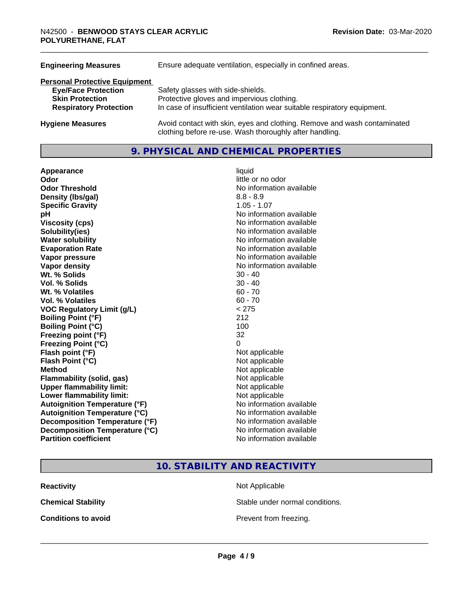| Ensure adequate ventilation, especially in confined areas.                                                                          |
|-------------------------------------------------------------------------------------------------------------------------------------|
|                                                                                                                                     |
| Safety glasses with side-shields.                                                                                                   |
| Protective gloves and impervious clothing.                                                                                          |
| In case of insufficient ventilation wear suitable respiratory equipment.                                                            |
| Avoid contact with skin, eyes and clothing. Remove and wash contaminated<br>clothing before re-use. Wash thoroughly after handling. |
|                                                                                                                                     |

#### **9. PHYSICAL AND CHEMICAL PROPERTIES**

**Appearance** liquid **Odor Odor Odor Odor Odor** *CODOR CODOR CODOR CODOR CODOR CODOR CODOR CODOR CODOR CODOR CODOR CODOR CODOR CODOR CODOR CODOR CODOR CODOR CODOR* **Odor Threshold No information available No information available Density (lbs/gal)** 8.8 - 8.9 **Specific Gravity** 1.05 - 1.07 **pH** No information available **Viscosity (cps)** No information available **Solubility(ies)** No information available **Water solubility**<br> **Evaporation Rate**<br> **Evaporation Rate**<br> **Evaporation Rate Vapor pressure** No information available **Vapor density** No information available **Wt.** % Solids 30 - 40 **Vol. % Solids** 30 - 40 **Wt.** % Volatiles 60 - 70 **Vol. % Volatiles** 60 - 70 **VOC Regulatory Limit (g/L)** < 275 **Boiling Point (°F)** 212 **Boiling Point (°C) Freezing point (°F)** 32 **Freezing Point (°C)** 0 **Flash point (°F)** Not applicable **Flash Point (°C)** Not applicable **Method**<br> **Flammability (solid, gas)**<br> **Commability (solid, gas)**<br>
Mot applicable **Flammability** (solid, gas) **Upper flammability limit:** Not applicable **Lower flammability limit:** Not applicable **Autoignition Temperature (°F)** No information available **Autoignition Temperature (°C)** No information available **Decomposition Temperature (°F)** No information available **Decomposition Temperature (°C)** No information available **Partition coefficient** No information available

**Evaporation Rate** No information available

**10. STABILITY AND REACTIVITY**

**Reactivity Not Applicable Not Applicable** 

**Chemical Stability Stable under normal conditions.** 

**Conditions to avoid Conditions to avoid Prevent from freezing.**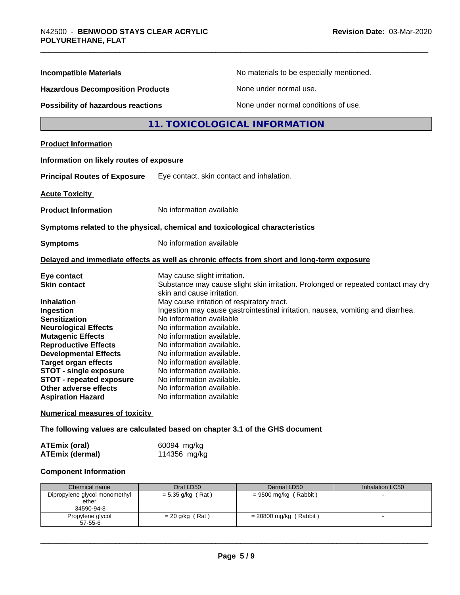| <b>Incompatible Materials</b>                                                                                                                                                                                                                                                                                                            | No materials to be especially mentioned.                                                                                                                                                                                                                                                                                                                                                                                      |
|------------------------------------------------------------------------------------------------------------------------------------------------------------------------------------------------------------------------------------------------------------------------------------------------------------------------------------------|-------------------------------------------------------------------------------------------------------------------------------------------------------------------------------------------------------------------------------------------------------------------------------------------------------------------------------------------------------------------------------------------------------------------------------|
| <b>Hazardous Decomposition Products</b>                                                                                                                                                                                                                                                                                                  | None under normal use.                                                                                                                                                                                                                                                                                                                                                                                                        |
| <b>Possibility of hazardous reactions</b>                                                                                                                                                                                                                                                                                                | None under normal conditions of use.                                                                                                                                                                                                                                                                                                                                                                                          |
|                                                                                                                                                                                                                                                                                                                                          | 11. TOXICOLOGICAL INFORMATION                                                                                                                                                                                                                                                                                                                                                                                                 |
| <b>Product Information</b>                                                                                                                                                                                                                                                                                                               |                                                                                                                                                                                                                                                                                                                                                                                                                               |
| Information on likely routes of exposure                                                                                                                                                                                                                                                                                                 |                                                                                                                                                                                                                                                                                                                                                                                                                               |
| <b>Principal Routes of Exposure</b>                                                                                                                                                                                                                                                                                                      | Eye contact, skin contact and inhalation.                                                                                                                                                                                                                                                                                                                                                                                     |
| <b>Acute Toxicity</b>                                                                                                                                                                                                                                                                                                                    |                                                                                                                                                                                                                                                                                                                                                                                                                               |
| <b>Product Information</b>                                                                                                                                                                                                                                                                                                               | No information available                                                                                                                                                                                                                                                                                                                                                                                                      |
|                                                                                                                                                                                                                                                                                                                                          | Symptoms related to the physical, chemical and toxicological characteristics                                                                                                                                                                                                                                                                                                                                                  |
| <b>Symptoms</b>                                                                                                                                                                                                                                                                                                                          | No information available                                                                                                                                                                                                                                                                                                                                                                                                      |
|                                                                                                                                                                                                                                                                                                                                          | Delayed and immediate effects as well as chronic effects from short and long-term exposure                                                                                                                                                                                                                                                                                                                                    |
| Eye contact<br><b>Skin contact</b>                                                                                                                                                                                                                                                                                                       | May cause slight irritation.<br>Substance may cause slight skin irritation. Prolonged or repeated contact may dry<br>skin and cause irritation.                                                                                                                                                                                                                                                                               |
| <b>Inhalation</b><br>Ingestion<br><b>Sensitization</b><br><b>Neurological Effects</b><br><b>Mutagenic Effects</b><br><b>Reproductive Effects</b><br><b>Developmental Effects</b><br><b>Target organ effects</b><br><b>STOT - single exposure</b><br><b>STOT - repeated exposure</b><br>Other adverse effects<br><b>Aspiration Hazard</b> | May cause irritation of respiratory tract.<br>Ingestion may cause gastrointestinal irritation, nausea, vomiting and diarrhea.<br>No information available<br>No information available.<br>No information available.<br>No information available.<br>No information available.<br>No information available.<br>No information available.<br>No information available.<br>No information available.<br>No information available |

**Numerical measures of toxicity**

**The following values are calculated based on chapter 3.1 of the GHS document**

| ATEmix (oral)   | 60094 mg/kg  |
|-----------------|--------------|
| ATEmix (dermal) | 114356 mg/kg |

#### **Component Information**

| Chemical name                                        | Oral LD50           | Dermal LD50              | Inhalation LC50 |
|------------------------------------------------------|---------------------|--------------------------|-----------------|
| Dipropylene glycol monomethyl<br>ether<br>34590-94-8 | $= 5.35$ g/kg (Rat) | = 9500 mg/kg (Rabbit)    |                 |
| Propylene glycol<br>$57 - 55 - 6$                    | $= 20$ g/kg (Rat)   | = 20800 mg/kg ( Rabbit ) |                 |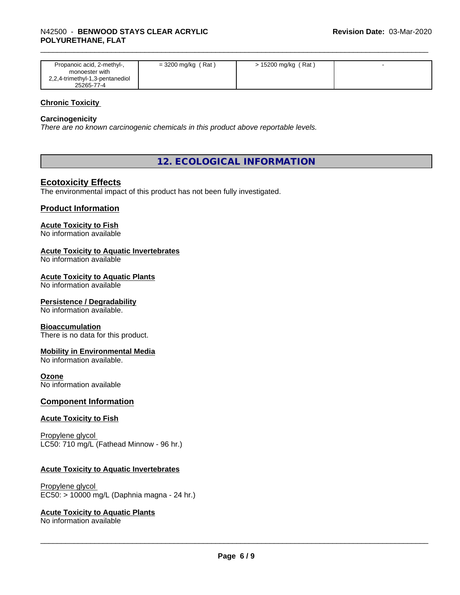| Propanoic acid, 2-methyl-,<br>monoester with  | $=$ 3200 mg/kg (Rat) | > 15200 mg/kg (Rat) |  |
|-----------------------------------------------|----------------------|---------------------|--|
| 2,2,4-trimethyl-1,3-pentanediol<br>25265-77-4 |                      |                     |  |

#### **Chronic Toxicity**

#### **Carcinogenicity**

*There are no known carcinogenic chemicals in this product above reportable levels.*

#### **12. ECOLOGICAL INFORMATION**

#### **Ecotoxicity Effects**

The environmental impact of this product has not been fully investigated.

#### **Product Information**

#### **Acute Toxicity to Fish**

No information available

#### **Acute Toxicity to Aquatic Invertebrates**

No information available

#### **Acute Toxicity to Aquatic Plants**

No information available

#### **Persistence / Degradability**

No information available.

#### **Bioaccumulation**

There is no data for this product.

#### **Mobility in Environmental Media**

No information available.

#### **Ozone**

No information available

#### **Component Information**

#### **Acute Toxicity to Fish**

Propylene glycol LC50: 710 mg/L (Fathead Minnow - 96 hr.)

#### **Acute Toxicity to Aquatic Invertebrates**

Propylene glycol EC50: > 10000 mg/L (Daphnia magna - 24 hr.)

#### **Acute Toxicity to Aquatic Plants**

No information available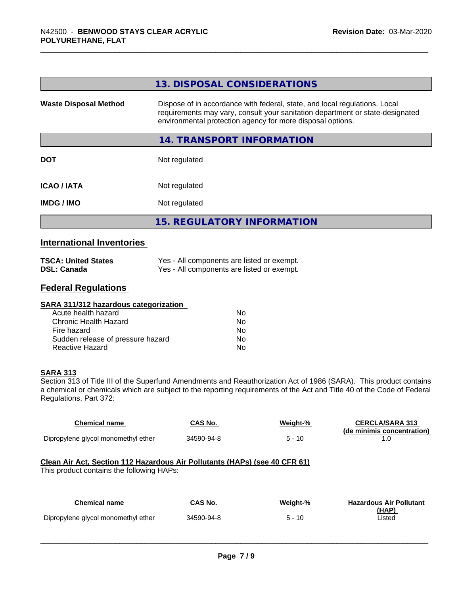|                                  | 13. DISPOSAL CONSIDERATIONS                                                                                                                                                                                               |
|----------------------------------|---------------------------------------------------------------------------------------------------------------------------------------------------------------------------------------------------------------------------|
| <b>Waste Disposal Method</b>     | Dispose of in accordance with federal, state, and local regulations. Local<br>requirements may vary, consult your sanitation department or state-designated<br>environmental protection agency for more disposal options. |
|                                  | <b>14. TRANSPORT INFORMATION</b>                                                                                                                                                                                          |
| <b>DOT</b>                       | Not regulated                                                                                                                                                                                                             |
| <b>ICAO/IATA</b>                 | Not regulated                                                                                                                                                                                                             |
| <b>IMDG / IMO</b>                | Not regulated                                                                                                                                                                                                             |
|                                  | <b>15. REGULATORY INFORMATION</b>                                                                                                                                                                                         |
| <b>International Inventories</b> |                                                                                                                                                                                                                           |

| <b>TSCA: United States</b> | Yes - All components are listed or exempt. |
|----------------------------|--------------------------------------------|
| <b>DSL: Canada</b>         | Yes - All components are listed or exempt. |

## **Federal Regulations**

| SARA 311/312 hazardous categorization |    |  |
|---------------------------------------|----|--|
| Acute health hazard                   | Nο |  |
| Chronic Health Hazard                 | No |  |
| Fire hazard                           | Nο |  |
| Sudden release of pressure hazard     | No |  |
| Reactive Hazard                       | No |  |

#### **SARA 313**

Section 313 of Title III of the Superfund Amendments and Reauthorization Act of 1986 (SARA). This product contains a chemical or chemicals which are subject to the reporting requirements of the Act and Title 40 of the Code of Federal Regulations, Part 372:

| <b>Chemical name</b>                                                       | CAS No.        | Weight-% | <b>CERCLA/SARA 313</b><br>(de minimis concentration) |  |
|----------------------------------------------------------------------------|----------------|----------|------------------------------------------------------|--|
| Dipropylene glycol monomethyl ether                                        | 34590-94-8     | $5 - 10$ | 1.0                                                  |  |
| Clean Air Act, Section 112 Hazardous Air Pollutants (HAPs) (see 40 CFR 61) |                |          |                                                      |  |
| This product contains the following HAPs:                                  |                |          |                                                      |  |
|                                                                            |                |          |                                                      |  |
| <b>Chemical name</b>                                                       | <b>CAS No.</b> | Weight-% | <b>Hazardous Air Pollutant</b><br><u>(HAP)</u>       |  |
| Dipropylene glycol monomethyl ether                                        | 34590-94-8     | $5 - 10$ | ∟isted                                               |  |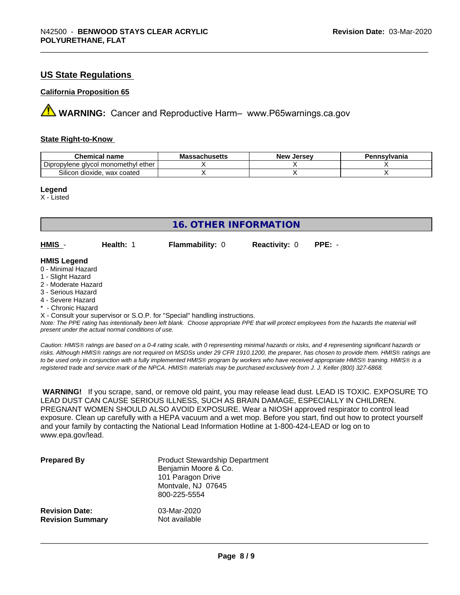#### **US State Regulations**

#### **California Proposition 65**

**A** WARNING: Cancer and Reproductive Harm– www.P65warnings.ca.gov

#### **State Right-to-Know**

| Chemical<br>name                                        | achucatte<br>IVIG:<br>⊶dunus <del>c</del> us | . Jersev<br><b>Nev</b> | าทรงIvania |
|---------------------------------------------------------|----------------------------------------------|------------------------|------------|
| -<br>ether<br>alvcol monomethvl (<br>oviene<br>טוע      |                                              |                        |            |
| $\sim \cdot \cdot$<br>wax coated<br>dioxide.<br>Silicon |                                              |                        |            |

#### **Legend**

X - Listed

| <b>16. OTHER INFORMATION</b>                                                                                                                          |                                                    |                                                                            |                      |                                                                                                                                               |
|-------------------------------------------------------------------------------------------------------------------------------------------------------|----------------------------------------------------|----------------------------------------------------------------------------|----------------------|-----------------------------------------------------------------------------------------------------------------------------------------------|
| HMIS -                                                                                                                                                | Health: 1                                          | <b>Flammability: 0</b>                                                     | <b>Reactivity: 0</b> | $PPE: -$                                                                                                                                      |
| <b>HMIS Legend</b><br>0 - Minimal Hazard<br>1 - Slight Hazard<br>2 - Moderate Hazard<br>3 - Serious Hazard<br>4 - Severe Hazard<br>* - Chronic Hazard |                                                    |                                                                            |                      |                                                                                                                                               |
|                                                                                                                                                       | present under the actual normal conditions of use. | X - Consult your supervisor or S.O.P. for "Special" handling instructions. |                      | Note: The PPE rating has intentionally been left blank. Choose appropriate PPE that will protect employees from the hazards the material will |

*Caution: HMISÒ ratings are based on a 0-4 rating scale, with 0 representing minimal hazards or risks, and 4 representing significant hazards or risks. Although HMISÒ ratings are not required on MSDSs under 29 CFR 1910.1200, the preparer, has chosen to provide them. HMISÒ ratings are to be used only in conjunction with a fully implemented HMISÒ program by workers who have received appropriate HMISÒ training. HMISÒ is a registered trade and service mark of the NPCA. HMISÒ materials may be purchased exclusively from J. J. Keller (800) 327-6868.*

 **WARNING!** If you scrape, sand, or remove old paint, you may release lead dust. LEAD IS TOXIC. EXPOSURE TO LEAD DUST CAN CAUSE SERIOUS ILLNESS, SUCH AS BRAIN DAMAGE, ESPECIALLY IN CHILDREN. PREGNANT WOMEN SHOULD ALSO AVOID EXPOSURE. Wear a NIOSH approved respirator to control lead exposure. Clean up carefully with a HEPA vacuum and a wet mop. Before you start, find out how to protect yourself and your family by contacting the National Lead Information Hotline at 1-800-424-LEAD or log on to www.epa.gov/lead.

| <b>Prepared By</b>      | <b>Product Stewardship Department</b><br>Benjamin Moore & Co.<br>101 Paragon Drive<br>Montvale, NJ 07645<br>800-225-5554 |
|-------------------------|--------------------------------------------------------------------------------------------------------------------------|
| <b>Revision Date:</b>   | 03-Mar-2020                                                                                                              |
| <b>Revision Summary</b> | Not available                                                                                                            |